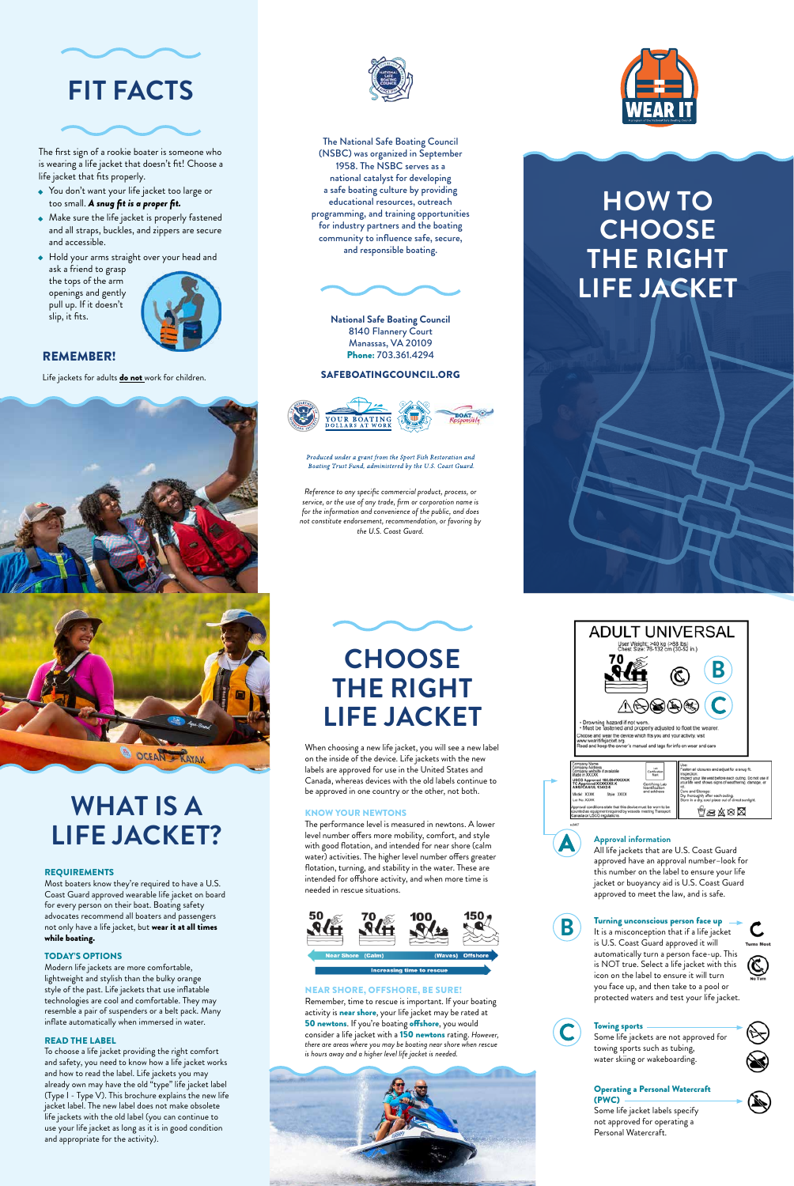# **WHAT IS A**



# **LIFE JACKET?**

#### REQUIREMENTS

Most boaters know they're required to have a U.S. Coast Guard approved wearable life jacket on board for every person on their boat. Boating safety advocates recommend all boaters and passengers not only have a life jacket, but wear it at all times while boating.

#### TODAY'S OPTIONS

Modern life jackets are more comfortable, lightweight and stylish than the bulky orange style of the past. Life jackets that use inflatable technologies are cool and comfortable. They may resemble a pair of suspenders or a belt pack. Many inflate automatically when immersed in water.

#### READ THE LABEL

To choose a life jacket providing the right comfort and safety, you need to know how a life jacket works and how to read the label. Life jackets you may already own may have the old "type" life jacket label (Type I - Type V). This brochure explains the new life jacket label. The new label does not make obsolete life jackets with the old label (you can continue to use your life jacket as long as it is in good condition and appropriate for the activity).

# **CHOOSE THE RIGHT LIFE JACKET**

When choosing a new life jacket, you will see a new label on the inside of the device. Life jackets with the new labels are approved for use in the United States and Canada, whereas devices with the old labels continue to be approved in one country or the other, not both.

KNOW YOUR NEWTONS

The performance level is measured in newtons. A lower level number offers more mobility, comfort, and style with good flotation, and intended for near shore (calm water) activities. The higher level number offers greater flotation, turning, and stability in the water. These are intended for offshore activity, and when more time is needed in rescue situations.

# 50 100

#### NEAR SHORE, OFFSHORE, BE SURE!

Remember, time to rescue is important. If your boating activity is **near shore**, your life jacket may be rated at 50 newtons. If you're boating offshore, you would consider a life jacket with a 150 newtons rating. *However, there are areas where you may be boating near shore when rescue is hours away and a higher level life jacket is needed.*







#### **Approval information**

All life jackets that are U.S. Coast Guard approved have an approval number–look for this number on the label to ensure your life jacket or buoyancy aid is U.S. Coast Guard approved to meet the law, and is safe.



# **Turning unconscious person face up**  $-$  It is a misconception that if a life jacket



is U.S. Coast Guard approved it will automatically turn a person face-up. This is NOT true. Select a life jacket with this icon on the label to ensure it will turn you face up, and then take to a pool or protected waters and test your life jacket.



#### Towing sports

Some life jackets are not approved for towing sports such as tubing, water skiing or wakeboarding.



#### Operating a Personal Watercraft (PWC)

Some life jacket labels specify not approved for operating a Personal Watercraft.



# **FIT FACTS**



The first sign of a rookie boater is someone who is wearing a life jacket that doesn't fit! Choose a life jacket that fits properly.

- You don't want your life jacket too large or too small. *A snug fit is a proper fit.*
- $\bullet~$  Make sure the life jacket is properly fastened and all straps, buckles, and zippers are secure and accessible.
- Hold your arms straight over your head and ask a friend to grasp the tops of the arm





## REMEMBER!

Life jackets for adults **do not** work for children.



# **HOW TO CHOOSE THE RIGHT LIFE JACKET**



The National Safe Boating Council (NSBC) was organized in September 1958. The NSBC serves as a national catalyst for developing a safe boating culture by providing educational resources, outreach programming, and training opportunities for industry partners and the boating community to influence safe, secure, and responsible boating.



**National Safe Boating Council**  8140 Flannery Court Manassas, VA 20109 Phone: 703.361.4294

## SAFEBOATINGCOUNCIL.ORG



Produced under a grant from the Sport Fish Restoration and Boating Trust Fund, administered by the U.S. Coast Guard.

*Reference to any specific commercial product, process, or service, or the use of any trade, firm or corporation name is for the information and convenience of the public, and does not constitute endorsement, recommendation, or favoring by the U.S. Coast Guard.*